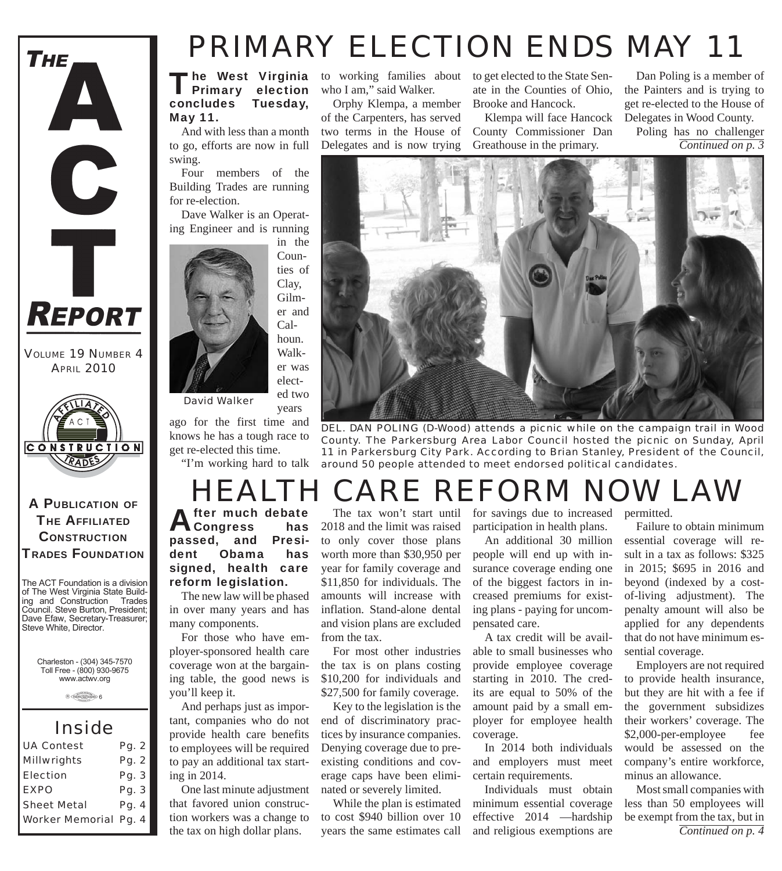

*VOLUME 19 NUMBER 4 APRIL 2010*



#### A PUBLICATION OF **THE AFFILIATED CONSTRUCTION** TRADES FOUNDATION

The ACT Foundation is a division of The West Virginia State Building and Construction Trades Council. Steve Burton, President; Dave Efaw, Secretary-Treasurer; Steve White, Director.

Charleston - (304) 345-7570 Toll Free - (800) 930-9675 www.actwv.org

 $A$  (TADES  $\frac{\text{maximize}}{\text{maximize}}$  6

#### *Inside*

| <b>UA Contest</b>            | Pg. 2 |
|------------------------------|-------|
| <b>Millwrights</b>           | Pg. 2 |
| Election                     | Pg. 3 |
| <b>EXPO</b>                  | Pg. 3 |
| <b>Sheet Metal</b>           | Pg. 4 |
| <b>Worker Memorial Pg. 4</b> |       |

## *PRIMARY ELECTION ENDS MAY 11*

The West Virginia<br>Primary election concludes Tuesday, May 11.

And with less than a month to go, efforts are now in full swing.

Four members of the Building Trades are running for re-election.

Dave Walker is an Operating Engineer and is running



years

ago for the first time and knows he has a tough race to get re-elected this time.

"I'm working hard to talk

who I am," said Walker.

Orphy Klempa, a member of the Carpenters, has served two terms in the House of Delegates and is now trying

to working families about to get elected to the State Senate in the Counties of Ohio, Brooke and Hancock.

> Klempa will face Hancock County Commissioner Dan Greathouse in the primary.

Dan Poling is a member of the Painters and is trying to get re-elected to the House of Delegates in Wood County.

Poling has no challenger *Continued on p. 3*



*DEL. DAN POLING (D-Wood) attends a picnic while on the campaign trail in Wood County. The Parkersburg Area Labor Council hosted the picnic on Sunday, April 11 in Parkersburg City Park. According to Brian Stanley, President of the Council, around 50 people attended to meet endorsed political candidates.*

### *HEALTH CARE REFORM NOW LAW*

**Congress** passed, and President Obama has signed, health care reform legislation.

The new law will be phased in over many years and has many components.

For those who have employer-sponsored health care coverage won at the bargaining table, the good news is you'll keep it.

And perhaps just as important, companies who do not provide health care benefits to employees will be required to pay an additional tax starting in 2014.

One last minute adjustment that favored union construction workers was a change to the tax on high dollar plans.

The tax won't start until 2018 and the limit was raised to only cover those plans worth more than \$30,950 per year for family coverage and \$11,850 for individuals. The amounts will increase with inflation. Stand-alone dental and vision plans are excluded from the tax.

For most other industries the tax is on plans costing \$10,200 for individuals and \$27,500 for family coverage.

Key to the legislation is the end of discriminatory practices by insurance companies. Denying coverage due to preexisting conditions and coverage caps have been eliminated or severely limited.

While the plan is estimated to cost \$940 billion over 10 years the same estimates call

for savings due to increased permitted. participation in health plans.

An additional 30 million people will end up with insurance coverage ending one of the biggest factors in increased premiums for existing plans - paying for uncompensated care.

A tax credit will be available to small businesses who provide employee coverage starting in 2010. The credits are equal to 50% of the amount paid by a small employer for employee health coverage.

In 2014 both individuals and employers must meet certain requirements.

Individuals must obtain minimum essential coverage effective 2014 —hardship and religious exemptions are

Failure to obtain minimum essential coverage will result in a tax as follows: \$325 in 2015; \$695 in 2016 and beyond (indexed by a costof-living adjustment). The penalty amount will also be applied for any dependents that do not have minimum essential coverage.

Employers are not required to provide health insurance, but they are hit with a fee if the government subsidizes their workers' coverage. The \$2,000-per-employee fee would be assessed on the company's entire workforce, minus an allowance.

Most small companies with less than 50 employees will be exempt from the tax, but in *Continued on p. 4*

fter much debate<br>Congress has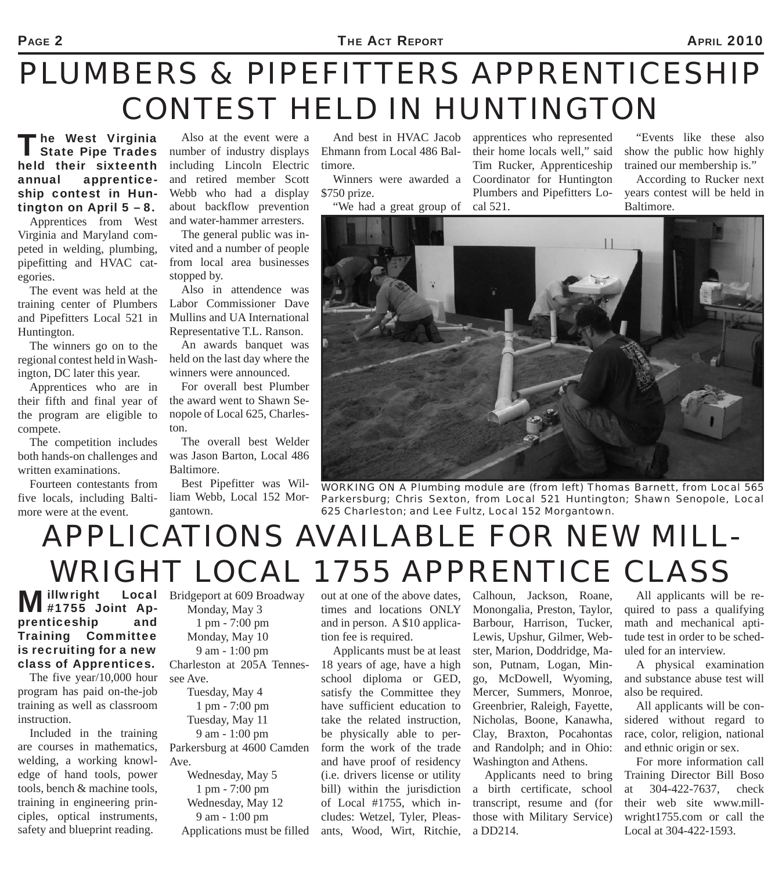#### PAGE 2 **PAGE 2 PAGE 2 PAGE 2010**

# *PLUMBERS & PIPEFITTERS APPRENTICESHIP CONTEST HELD IN HUNTINGTON*

The West Virginia<br>
State Pipe Trades held their sixteenth annual apprenticeship contest in Huntington on April 5 – 8.

Apprentices from West Virginia and Maryland competed in welding, plumbing, pipefitting and HVAC categories.

The event was held at the training center of Plumbers and Pipefitters Local 521 in Huntington.

The winners go on to the regional contest held in Washington, DC later this year.

Apprentices who are in their fifth and final year of the program are eligible to compete.

The competition includes both hands-on challenges and written examinations.

Fourteen contestants from five locals, including Baltimore were at the event.

Also at the event were a number of industry displays including Lincoln Electric and retired member Scott Webb who had a display about backflow prevention and water-hammer arresters.

The general public was invited and a number of people from local area businesses stopped by.

Also in attendence was Labor Commissioner Dave Mullins and UA International Representative T.L. Ranson.

An awards banquet was held on the last day where the winners were announced.

For overall best Plumber the award went to Shawn Senopole of Local 625, Charleston.

The overall best Welder was Jason Barton, Local 486 Baltimore.

Best Pipefitter was William Webb, Local 152 Morgantown.

And best in HVAC Jacob Ehmann from Local 486 Baltimore.

\$750 prize.

"We had a great group of cal 521.

Winners were awarded a Coordinator for Huntington apprentices who represented their home locals well," said Tim Rucker, Apprenticeship Plumbers and Pipefitters Lo-

"Events like these also show the public how highly trained our membership is."

According to Rucker next years contest will be held in Baltimore.



*WORKING ON A Plumbing module are (from left) Thomas Barnett, from Local 565 Parkersburg; Chris Sexton, from Local 521 Huntington; Shawn Senopole, Local 625 Charleston; and Lee Fultz, Local 152 Morgantown.*

# *APPLICATIONS AVAILABLE FOR NEW MILL-WRIGHT LOCAL 1755 APPRENTICE CLASS*

Millwright Local #1755 Joint Apprenticeship and Training Committee is recruiting for a new class of Apprentices.

The five year/10,000 hour program has paid on-the-job training as well as classroom instruction.

Included in the training are courses in mathematics, welding, a working knowledge of hand tools, power tools, bench & machine tools, training in engineering principles, optical instruments, safety and blueprint reading.

Bridgeport at 609 Broadway Monday, May 3 1 pm - 7:00 pm Monday, May 10 9 am - 1:00 pm Charleston at 205A Tennessee Ave. Tuesday, May 4

 1 pm - 7:00 pm Tuesday, May 11 9 am - 1:00 pm

Parkersburg at 4600 Camden Ave.

 Wednesday, May 5 1 pm - 7:00 pm Wednesday, May 12 9 am - 1:00 pm Applications must be filled out at one of the above dates, times and locations ONLY and in person. A \$10 application fee is required.

Applicants must be at least 18 years of age, have a high school diploma or GED, satisfy the Committee they have sufficient education to take the related instruction, be physically able to perform the work of the trade and have proof of residency (i.e. drivers license or utility bill) within the jurisdiction of Local #1755, which includes: Wetzel, Tyler, Pleasants, Wood, Wirt, Ritchie, Calhoun, Jackson, Roane, Monongalia, Preston, Taylor, Barbour, Harrison, Tucker, Lewis, Upshur, Gilmer, Webster, Marion, Doddridge, Mason, Putnam, Logan, Mingo, McDowell, Wyoming, Mercer, Summers, Monroe, Greenbrier, Raleigh, Fayette, Nicholas, Boone, Kanawha, Clay, Braxton, Pocahontas and Randolph; and in Ohio: Washington and Athens.

Applicants need to bring a birth certificate, school transcript, resume and (for those with Military Service) a DD214.

All applicants will be required to pass a qualifying math and mechanical aptitude test in order to be scheduled for an interview.

A physical examination and substance abuse test will also be required.

All applicants will be considered without regard to race, color, religion, national and ethnic origin or sex.

For more information call Training Director Bill Boso at 304-422-7637, check their web site www.millwright1755.com or call the Local at 304-422-1593.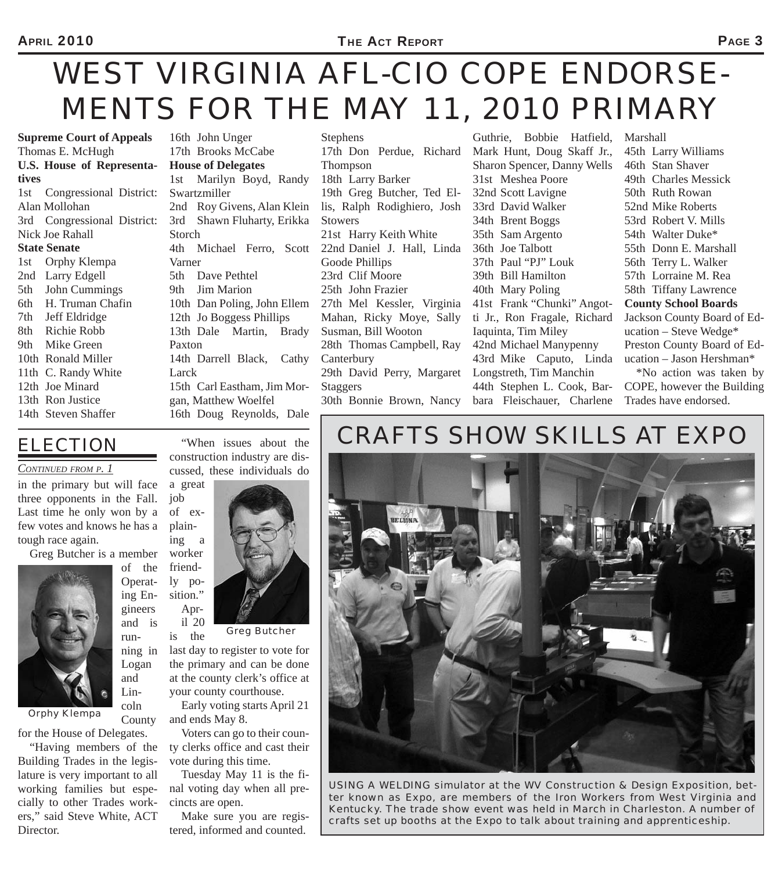# *WEST VIRGINIA AFL-CIO COPE ENDORSE-MENTS FOR THE MAY 11, 2010 PRIMARY*

**Supreme Court of Appeals** Thomas E. McHugh **U.S. House of Representatives** 1st Congressional District: Alan Mollohan 3rd Congressional District: Nick Joe Rahall **State Senate** 1st Orphy Klempa 2nd Larry Edgell 5th John Cummings 6th H. Truman Chafin 7th Jeff Eldridge 8th Richie Robb 9th Mike Green 10th Ronald Miller 11th C. Randy White 12th Joe Minard 13th Ron Justice 14th Steven Shaffer

4th Michael Ferro, Scott 22nd Daniel J. Hall, Linda 16th John Unger 17th Brooks McCabe **House of Delegates** 1st Marilyn Boyd, Randy Swartzmiller 2nd Roy Givens, Alan Klein 3rd Shawn Fluharty, Erikka Storch Varner 5th Dave Pethtel 9th Jim Marion 10th Dan Poling, John Ellem 12th Jo Boggess Phillips 13th Dale Martin, Brady Paxton 14th Darrell Black, Cathy Larck 15th Carl Eastham, Jim Morgan, Matthew Woelfel 16th Doug Reynolds, Dale

Stephens 17th Don Perdue, Richard Thompson 18th Larry Barker 19th Greg Butcher, Ted Ellis, Ralph Rodighiero, Josh Stowers 21st Harry Keith White Goode Phillips 23rd Clif Moore 25th John Frazier 27th Mel Kessler, Virginia Mahan, Ricky Moye, Sally Susman, Bill Wooton 28th Thomas Campbell, Ray **Canterbury** 29th David Perry, Margaret Staggers 30th Bonnie Brown, Nancy

Guthrie, Bobbie Hatfield, Mark Hunt, Doug Skaff Jr., Sharon Spencer, Danny Wells 31st Meshea Poore 32nd Scott Lavigne 33rd David Walker 34th Brent Boggs 35th Sam Argento 36th Joe Talbott 37th Paul "PJ" Louk 39th Bill Hamilton 40th Mary Poling 41st Frank "Chunki" Angotti Jr., Ron Fragale, Richard Iaquinta, Tim Miley 42nd Michael Manypenny 43rd Mike Caputo, Linda Longstreth, Tim Manchin 44th Stephen L. Cook, Barbara Fleischauer, Charlene

45th Larry Williams 46th Stan Shaver 49th Charles Messick 50th Ruth Rowan 52nd Mike Roberts 53rd Robert V. Mills 54th Walter Duke\* 55th Donn E. Marshall 56th Terry L. Walker 57th Lorraine M. Rea 58th Tiffany Lawrence **County School Boards** Jackson County Board of Education – Steve Wedge\* Preston County Board of Education – Jason Hershman\*

Marshall

\*No action was taken by COPE, however the Building Trades have endorsed.

### *ELECTION*

*CONTINUED FROM P. 1*

in the primary but will face three opponents in the Fall. Last time he only won by a few votes and knows he has a tough race again.

Greg Butcher is a member

of the Operating Engineers and is running in Logan and Lincoln County



*Orphy Klempa*

for the House of Delegates.

"Having members of the Building Trades in the legislature is very important to all working families but especially to other Trades workers," said Steve White, ACT Director.

construction industry are discussed, these individuals do a great job of explain-

"When issues about the

ing a worker friendly position." Apr-

il 20 is the

*Greg Butcher*

last day to register to vote for the primary and can be done at the county clerk's office at your county courthouse.

Early voting starts April 21 and ends May 8.

Voters can go to their county clerks office and cast their vote during this time.

Tuesday May 11 is the final voting day when all precincts are open.

Make sure you are registered, informed and counted.

### *CRAFTS SHOW SKILLS AT EXPO*



*USING A WELDING simulator at the WV Construction & Design Exposition, better known as Expo, are members of the Iron Workers from West Virginia and Kentucky. The trade show event was held in March in Charleston. A number of crafts set up booths at the Expo to talk about training and apprenticeship.*